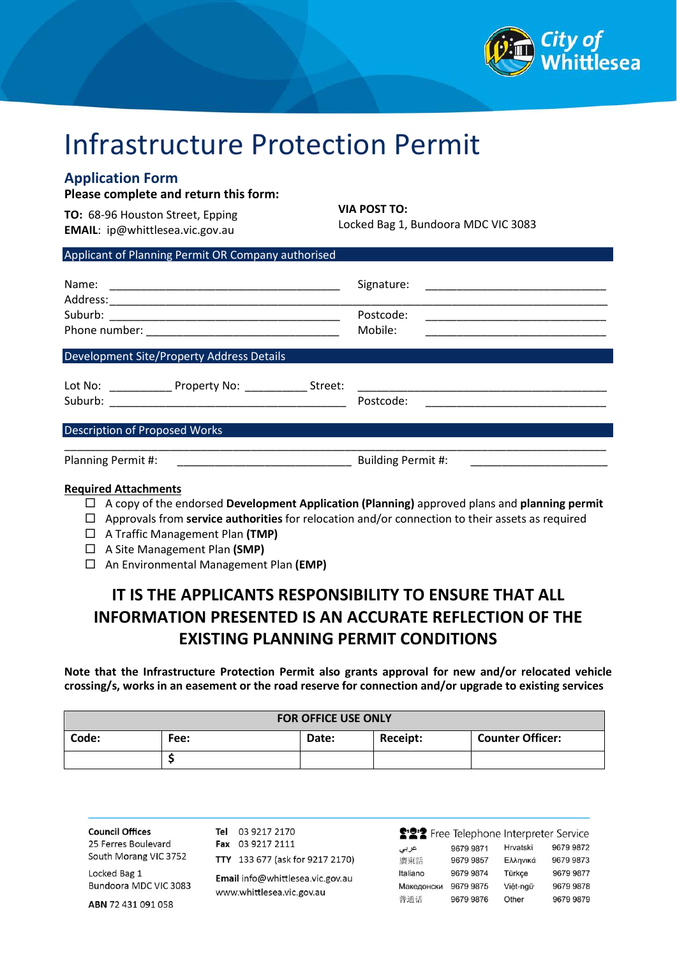

# Infrastructure Protection Permit

## **Application Form**

**Please complete and return this form:**

**TO:** 68-96 Houston Street, Epping **EMAIL**: ip@whittlesea.vic.gov.au

**VIA POST TO:**

Locked Bag 1, Bundoora MDC VIC 3083

## Applicant of Planning Permit OR Company authorised

|                                                                                                                  | Signature:<br>Postcode:<br>Mobile: |
|------------------------------------------------------------------------------------------------------------------|------------------------------------|
| <b>Development Site/Property Address Details</b><br>Lot No: _______________ Property No: _______________ Street: | Postcode:                          |
| <b>Description of Proposed Works</b>                                                                             |                                    |
| Planning Permit #:                                                                                               | Building Permit #:                 |

#### **Required Attachments**

- A copy of the endorsed **Development Application (Planning)** approved plans and **planning permit**
- Approvals from **service authorities** for relocation and/or connection to their assets as required
- A Traffic Management Plan **(TMP)**
- A Site Management Plan **(SMP)**
- An Environmental Management Plan **(EMP)**

# **IT IS THE APPLICANTS RESPONSIBILITY TO ENSURE THAT ALL INFORMATION PRESENTED IS AN ACCURATE REFLECTION OF THE EXISTING PLANNING PERMIT CONDITIONS**

**Note that the Infrastructure Protection Permit also grants approval for new and/or relocated vehicle crossing/s, works in an easement or the road reserve for connection and/or upgrade to existing services**

| <b>FOR OFFICE USE ONLY</b> |      |       |          |                         |  |  |
|----------------------------|------|-------|----------|-------------------------|--|--|
| Code:                      | Fee: | Date: | Receipt: | <b>Counter Officer:</b> |  |  |
|                            |      |       |          |                         |  |  |

**Council Offices** 25 Ferres Boulevard South Morang VIC 3752

Locked Bag 1 Bundoora MDC VIC 3083

ABN 72 431 091 058

TTY 133 677 (ask for 9217 2170) Email info@whittlesea.vic.gov.au www.whittlesea.vic.gov.au

Tel 03 9217 2170

Fax 03 9217 2111

|            | S'으 Free Telephone Interpreter Service |          |           |
|------------|----------------------------------------|----------|-----------|
| عربى       | 9679 9871                              | Hrvatski | 9679 9872 |
| 廣東話        | 9679 9857                              | Ελληνικά | 9679 9873 |
| Italiano   | 9679 9874                              | Türkçe   | 9679 9877 |
| Македонски | 9679 9875                              | Việt-ngữ | 9679 9878 |
| 普通话        | 9679 9876                              | Other    | 9679 9879 |